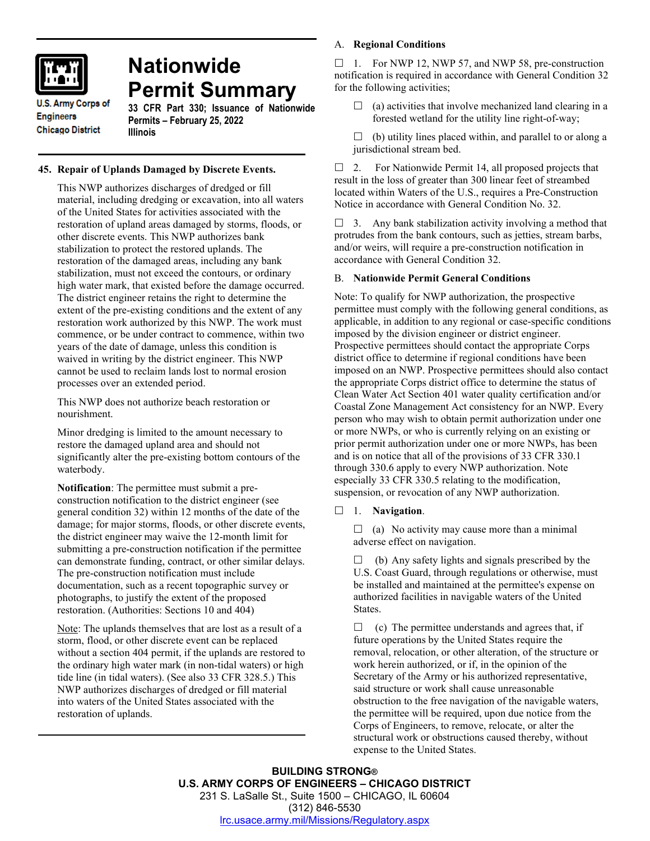

# **Nationwide Permit Summary**

**U.S. Army Corps of Engineers Chicago District** 

**33 CFR Part 330; Issuance of Nationwide Permits – February 25, 2022 Illinois**

## **45. Repair of Uplands Damaged by Discrete Events.**

This NWP authorizes discharges of dredged or fill material, including dredging or excavation, into all waters of the United States for activities associated with the restoration of upland areas damaged by storms, floods, or other discrete events. This NWP authorizes bank stabilization to protect the restored uplands. The restoration of the damaged areas, including any bank stabilization, must not exceed the contours, or ordinary high water mark, that existed before the damage occurred. The district engineer retains the right to determine the extent of the pre-existing conditions and the extent of any restoration work authorized by this NWP. The work must commence, or be under contract to commence, within two years of the date of damage, unless this condition is waived in writing by the district engineer. This NWP cannot be used to reclaim lands lost to normal erosion processes over an extended period.

This NWP does not authorize beach restoration or nourishment.

Minor dredging is limited to the amount necessary to restore the damaged upland area and should not significantly alter the pre-existing bottom contours of the waterbody.

**Notification**: The permittee must submit a preconstruction notification to the district engineer (see general condition 32) within 12 months of the date of the damage; for major storms, floods, or other discrete events, the district engineer may waive the 12-month limit for submitting a pre-construction notification if the permittee can demonstrate funding, contract, or other similar delays. The pre-construction notification must include documentation, such as a recent topographic survey or photographs, to justify the extent of the proposed restoration. (Authorities: Sections 10 and 404)

Note: The uplands themselves that are lost as a result of a storm, flood, or other discrete event can be replaced without a section 404 permit, if the uplands are restored to the ordinary high water mark (in non-tidal waters) or high tide line (in tidal waters). (See also 33 CFR 328.5.) This NWP authorizes discharges of dredged or fill material into waters of the United States associated with the restoration of uplands.

## A. **Regional Conditions**

 $\Box$  1. For NWP 12, NWP 57, and NWP 58, pre-construction notification is required in accordance with General Condition 32 for the following activities;

- $\Box$  (a) activities that involve mechanized land clearing in a forested wetland for the utility line right-of-way;
- $\Box$  (b) utility lines placed within, and parallel to or along a jurisdictional stream bed.

 $\Box$  2. For Nationwide Permit 14, all proposed projects that result in the loss of greater than 300 linear feet of streambed located within Waters of the U.S., requires a Pre-Construction Notice in accordance with General Condition No. 32.

 $\Box$  3. Any bank stabilization activity involving a method that protrudes from the bank contours, such as jetties, stream barbs, and/or weirs, will require a pre-construction notification in accordance with General Condition 32.

## B. **Nationwide Permit General Conditions**

Note: To qualify for NWP authorization, the prospective permittee must comply with the following general conditions, as applicable, in addition to any regional or case-specific conditions imposed by the division engineer or district engineer. Prospective permittees should contact the appropriate Corps district office to determine if regional conditions have been imposed on an NWP. Prospective permittees should also contact the appropriate Corps district office to determine the status of Clean Water Act Section 401 water quality certification and/or Coastal Zone Management Act consistency for an NWP. Every person who may wish to obtain permit authorization under one or more NWPs, or who is currently relying on an existing or prior permit authorization under one or more NWPs, has been and is on notice that all of the provisions of 33 CFR 330.1 through 330.6 apply to every NWP authorization. Note especially 33 CFR 330.5 relating to the modification, suspension, or revocation of any NWP authorization.

1. **Navigation**.

 $\Box$  (a) No activity may cause more than a minimal adverse effect on navigation.

 $\Box$  (b) Any safety lights and signals prescribed by the U.S. Coast Guard, through regulations or otherwise, must be installed and maintained at the permittee's expense on authorized facilities in navigable waters of the United States.

 $\Box$  (c) The permittee understands and agrees that, if future operations by the United States require the removal, relocation, or other alteration, of the structure or work herein authorized, or if, in the opinion of the Secretary of the Army or his authorized representative, said structure or work shall cause unreasonable obstruction to the free navigation of the navigable waters, the permittee will be required, upon due notice from the Corps of Engineers, to remove, relocate, or alter the structural work or obstructions caused thereby, without expense to the United States.

**BUILDING STRONG® U.S. ARMY CORPS OF ENGINEERS – CHICAGO DISTRICT** 231 S. LaSalle St., Suite 1500 – CHICAGO, IL 60604 (312) 846-5530 [lrc.usace.army.mil/Missions/Regulatory.aspx](https://www.lrc.usace.army.mil/Missions/Regulatory.aspx)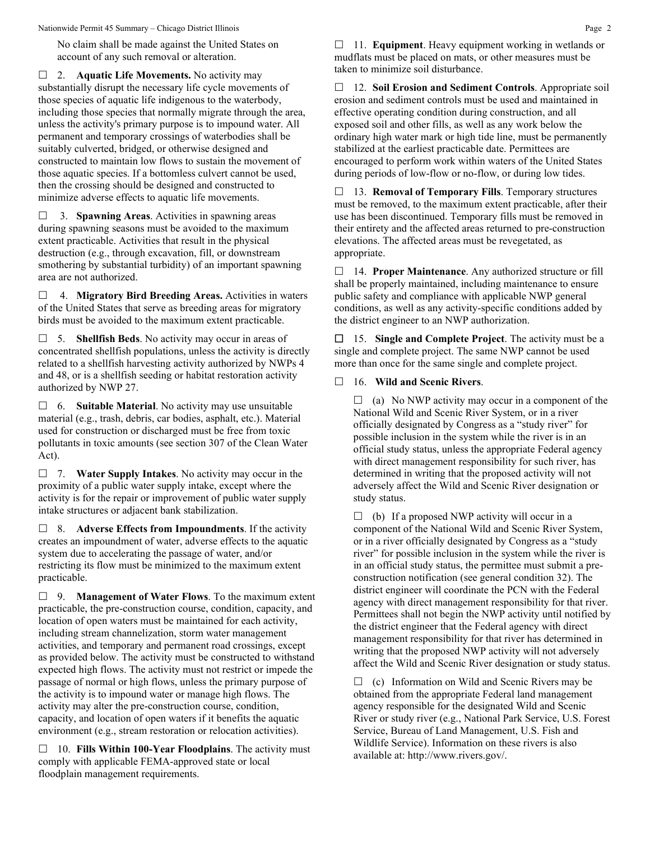Nationwide Permit 45 Summary – Chicago District Illinois **Page 2** Page 2

No claim shall be made against the United States on account of any such removal or alteration.

□ 2. **Aquatic Life Movements.** No activity may substantially disrupt the necessary life cycle movements of those species of aquatic life indigenous to the waterbody, including those species that normally migrate through the area, unless the activity's primary purpose is to impound water. All permanent and temporary crossings of waterbodies shall be suitably culverted, bridged, or otherwise designed and constructed to maintain low flows to sustain the movement of those aquatic species. If a bottomless culvert cannot be used, then the crossing should be designed and constructed to minimize adverse effects to aquatic life movements.

 3. **Spawning Areas**. Activities in spawning areas during spawning seasons must be avoided to the maximum extent practicable. Activities that result in the physical destruction (e.g., through excavation, fill, or downstream smothering by substantial turbidity) of an important spawning area are not authorized.

 4. **Migratory Bird Breeding Areas.** Activities in waters of the United States that serve as breeding areas for migratory birds must be avoided to the maximum extent practicable.

 5. **Shellfish Beds**. No activity may occur in areas of concentrated shellfish populations, unless the activity is directly related to a shellfish harvesting activity authorized by NWPs 4 and 48, or is a shellfish seeding or habitat restoration activity authorized by NWP 27.

 6. **Suitable Material**. No activity may use unsuitable material (e.g., trash, debris, car bodies, asphalt, etc.). Material used for construction or discharged must be free from toxic pollutants in toxic amounts (see section 307 of the Clean Water Act).

 7. **Water Supply Intakes**. No activity may occur in the proximity of a public water supply intake, except where the activity is for the repair or improvement of public water supply intake structures or adjacent bank stabilization.

 8. **Adverse Effects from Impoundments**. If the activity creates an impoundment of water, adverse effects to the aquatic system due to accelerating the passage of water, and/or restricting its flow must be minimized to the maximum extent practicable.

 9. **Management of Water Flows**. To the maximum extent practicable, the pre-construction course, condition, capacity, and location of open waters must be maintained for each activity, including stream channelization, storm water management activities, and temporary and permanent road crossings, except as provided below. The activity must be constructed to withstand expected high flows. The activity must not restrict or impede the passage of normal or high flows, unless the primary purpose of the activity is to impound water or manage high flows. The activity may alter the pre-construction course, condition, capacity, and location of open waters if it benefits the aquatic environment (e.g., stream restoration or relocation activities).

 10. **Fills Within 100-Year Floodplains**. The activity must comply with applicable FEMA-approved state or local floodplain management requirements.

□ 11. **Equipment**. Heavy equipment working in wetlands or mudflats must be placed on mats, or other measures must be taken to minimize soil disturbance.

 12. **Soil Erosion and Sediment Controls**. Appropriate soil erosion and sediment controls must be used and maintained in effective operating condition during construction, and all exposed soil and other fills, as well as any work below the ordinary high water mark or high tide line, must be permanently stabilized at the earliest practicable date. Permittees are encouraged to perform work within waters of the United States during periods of low-flow or no-flow, or during low tides.

 13. **Removal of Temporary Fills**. Temporary structures must be removed, to the maximum extent practicable, after their use has been discontinued. Temporary fills must be removed in their entirety and the affected areas returned to pre-construction elevations. The affected areas must be revegetated, as appropriate.

 14. **Proper Maintenance**. Any authorized structure or fill shall be properly maintained, including maintenance to ensure public safety and compliance with applicable NWP general conditions, as well as any activity-specific conditions added by the district engineer to an NWP authorization.

 15. **Single and Complete Project**. The activity must be a single and complete project. The same NWP cannot be used more than once for the same single and complete project.

## 16. **Wild and Scenic Rivers**.

 $\Box$  (a) No NWP activity may occur in a component of the National Wild and Scenic River System, or in a river officially designated by Congress as a "study river" for possible inclusion in the system while the river is in an official study status, unless the appropriate Federal agency with direct management responsibility for such river, has determined in writing that the proposed activity will not adversely affect the Wild and Scenic River designation or study status.

 $\Box$  (b) If a proposed NWP activity will occur in a component of the National Wild and Scenic River System, or in a river officially designated by Congress as a "study river" for possible inclusion in the system while the river is in an official study status, the permittee must submit a preconstruction notification (see general condition 32). The district engineer will coordinate the PCN with the Federal agency with direct management responsibility for that river. Permittees shall not begin the NWP activity until notified by the district engineer that the Federal agency with direct management responsibility for that river has determined in writing that the proposed NWP activity will not adversely affect the Wild and Scenic River designation or study status.

 $\Box$  (c) Information on Wild and Scenic Rivers may be obtained from the appropriate Federal land management agency responsible for the designated Wild and Scenic River or study river (e.g., National Park Service, U.S. Forest Service, Bureau of Land Management, U.S. Fish and Wildlife Service). Information on these rivers is also available at: http://www.rivers.gov/.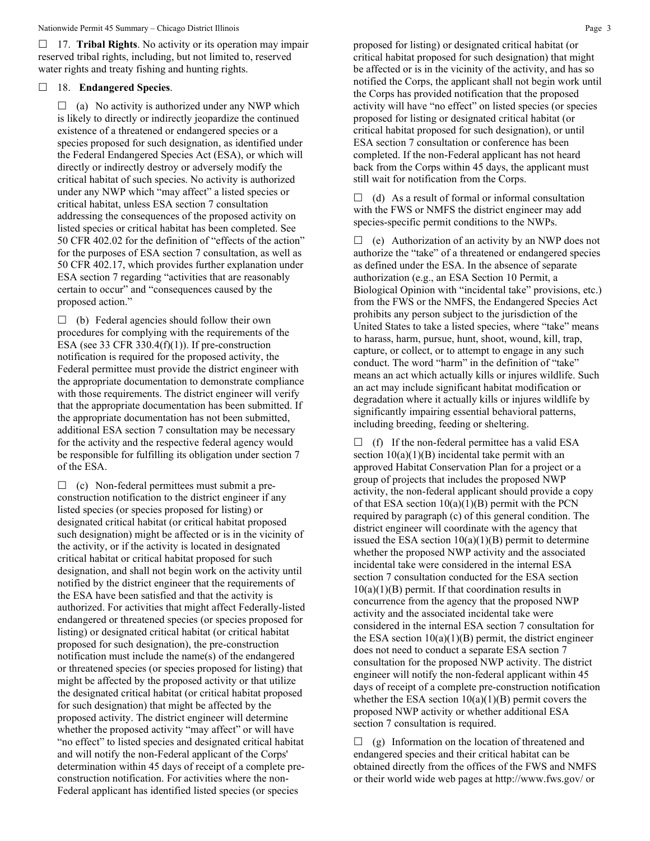17. **Tribal Rights**. No activity or its operation may impair reserved tribal rights, including, but not limited to, reserved water rights and treaty fishing and hunting rights.

## 18. **Endangered Species**.

 $\Box$  (a) No activity is authorized under any NWP which is likely to directly or indirectly jeopardize the continued existence of a threatened or endangered species or a species proposed for such designation, as identified under the Federal Endangered Species Act (ESA), or which will directly or indirectly destroy or adversely modify the critical habitat of such species. No activity is authorized under any NWP which "may affect" a listed species or critical habitat, unless ESA section 7 consultation addressing the consequences of the proposed activity on listed species or critical habitat has been completed. See 50 CFR 402.02 for the definition of "effects of the action" for the purposes of ESA section 7 consultation, as well as 50 CFR 402.17, which provides further explanation under ESA section 7 regarding "activities that are reasonably certain to occur" and "consequences caused by the proposed action."

 $\Box$  (b) Federal agencies should follow their own procedures for complying with the requirements of the ESA (see 33 CFR 330.4 $(f)(1)$ ). If pre-construction notification is required for the proposed activity, the Federal permittee must provide the district engineer with the appropriate documentation to demonstrate compliance with those requirements. The district engineer will verify that the appropriate documentation has been submitted. If the appropriate documentation has not been submitted, additional ESA section 7 consultation may be necessary for the activity and the respective federal agency would be responsible for fulfilling its obligation under section 7 of the ESA.

 $\Box$  (c) Non-federal permittees must submit a preconstruction notification to the district engineer if any listed species (or species proposed for listing) or designated critical habitat (or critical habitat proposed such designation) might be affected or is in the vicinity of the activity, or if the activity is located in designated critical habitat or critical habitat proposed for such designation, and shall not begin work on the activity until notified by the district engineer that the requirements of the ESA have been satisfied and that the activity is authorized. For activities that might affect Federally-listed endangered or threatened species (or species proposed for listing) or designated critical habitat (or critical habitat proposed for such designation), the pre-construction notification must include the name(s) of the endangered or threatened species (or species proposed for listing) that might be affected by the proposed activity or that utilize the designated critical habitat (or critical habitat proposed for such designation) that might be affected by the proposed activity. The district engineer will determine whether the proposed activity "may affect" or will have "no effect" to listed species and designated critical habitat and will notify the non-Federal applicant of the Corps' determination within 45 days of receipt of a complete preconstruction notification. For activities where the non-Federal applicant has identified listed species (or species

proposed for listing) or designated critical habitat (or critical habitat proposed for such designation) that might be affected or is in the vicinity of the activity, and has so notified the Corps, the applicant shall not begin work until the Corps has provided notification that the proposed activity will have "no effect" on listed species (or species proposed for listing or designated critical habitat (or critical habitat proposed for such designation), or until ESA section 7 consultation or conference has been completed. If the non-Federal applicant has not heard back from the Corps within 45 days, the applicant must still wait for notification from the Corps.

 $\Box$  (d) As a result of formal or informal consultation with the FWS or NMFS the district engineer may add species-specific permit conditions to the NWPs.

 $\Box$  (e) Authorization of an activity by an NWP does not authorize the "take" of a threatened or endangered species as defined under the ESA. In the absence of separate authorization (e.g., an ESA Section 10 Permit, a Biological Opinion with "incidental take" provisions, etc.) from the FWS or the NMFS, the Endangered Species Act prohibits any person subject to the jurisdiction of the United States to take a listed species, where "take" means to harass, harm, pursue, hunt, shoot, wound, kill, trap, capture, or collect, or to attempt to engage in any such conduct. The word "harm" in the definition of "take" means an act which actually kills or injures wildlife. Such an act may include significant habitat modification or degradation where it actually kills or injures wildlife by significantly impairing essential behavioral patterns, including breeding, feeding or sheltering.

 $\Box$  (f) If the non-federal permittee has a valid ESA section  $10(a)(1)(B)$  incidental take permit with an approved Habitat Conservation Plan for a project or a group of projects that includes the proposed NWP activity, the non-federal applicant should provide a copy of that ESA section  $10(a)(1)(B)$  permit with the PCN required by paragraph (c) of this general condition. The district engineer will coordinate with the agency that issued the ESA section  $10(a)(1)(B)$  permit to determine whether the proposed NWP activity and the associated incidental take were considered in the internal ESA section 7 consultation conducted for the ESA section  $10(a)(1)(B)$  permit. If that coordination results in concurrence from the agency that the proposed NWP activity and the associated incidental take were considered in the internal ESA section 7 consultation for the ESA section  $10(a)(1)(B)$  permit, the district engineer does not need to conduct a separate ESA section 7 consultation for the proposed NWP activity. The district engineer will notify the non-federal applicant within 45 days of receipt of a complete pre-construction notification whether the ESA section  $10(a)(1)(B)$  permit covers the proposed NWP activity or whether additional ESA section 7 consultation is required.

 $\Box$  (g) Information on the location of threatened and endangered species and their critical habitat can be obtained directly from the offices of the FWS and NMFS or their world wide web pages at http://www.fws.gov/ or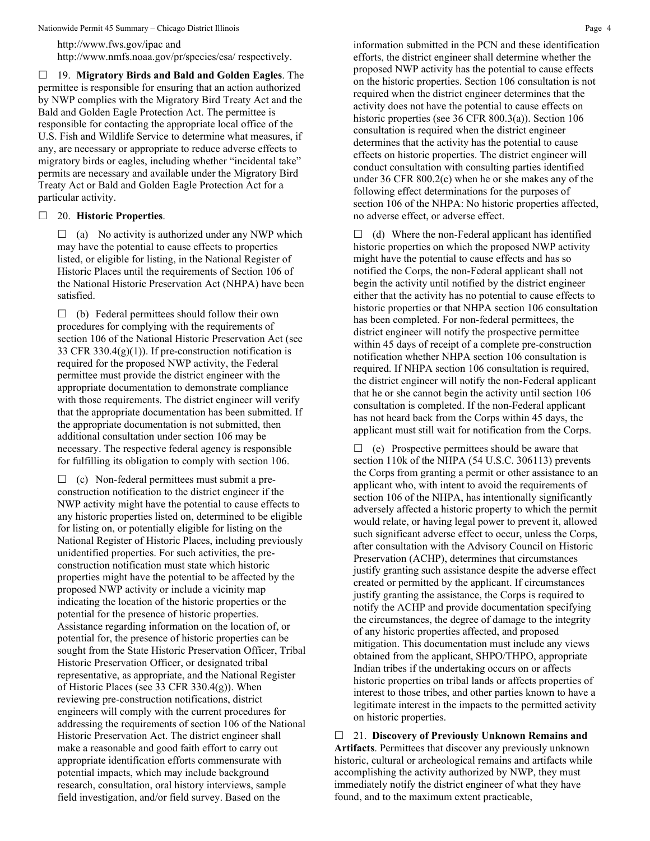Nationwide Permit 45 Summary – Chicago District Illinois **Page 4** and the state of the state of the state of the state of the state of the state of the state of the state of the state of the state of the state of the state

http://www.fws.gov/ipac and http://www.nmfs.noaa.gov/pr/species/esa/ respectively.

 19. **Migratory Birds and Bald and Golden Eagles**. The permittee is responsible for ensuring that an action authorized by NWP complies with the Migratory Bird Treaty Act and the Bald and Golden Eagle Protection Act. The permittee is responsible for contacting the appropriate local office of the U.S. Fish and Wildlife Service to determine what measures, if any, are necessary or appropriate to reduce adverse effects to migratory birds or eagles, including whether "incidental take" permits are necessary and available under the Migratory Bird Treaty Act or Bald and Golden Eagle Protection Act for a particular activity.

20. **Historic Properties**.

 $\Box$  (a) No activity is authorized under any NWP which may have the potential to cause effects to properties listed, or eligible for listing, in the National Register of Historic Places until the requirements of Section 106 of the National Historic Preservation Act (NHPA) have been satisfied.

 $\Box$  (b) Federal permittees should follow their own procedures for complying with the requirements of section 106 of the National Historic Preservation Act (see 33 CFR 330.4 $(g)(1)$ ). If pre-construction notification is required for the proposed NWP activity, the Federal permittee must provide the district engineer with the appropriate documentation to demonstrate compliance with those requirements. The district engineer will verify that the appropriate documentation has been submitted. If the appropriate documentation is not submitted, then additional consultation under section 106 may be necessary. The respective federal agency is responsible for fulfilling its obligation to comply with section 106.

 $\Box$  (c) Non-federal permittees must submit a preconstruction notification to the district engineer if the NWP activity might have the potential to cause effects to any historic properties listed on, determined to be eligible for listing on, or potentially eligible for listing on the National Register of Historic Places, including previously unidentified properties. For such activities, the preconstruction notification must state which historic properties might have the potential to be affected by the proposed NWP activity or include a vicinity map indicating the location of the historic properties or the potential for the presence of historic properties. Assistance regarding information on the location of, or potential for, the presence of historic properties can be sought from the State Historic Preservation Officer, Tribal Historic Preservation Officer, or designated tribal representative, as appropriate, and the National Register of Historic Places (see 33 CFR 330.4(g)). When reviewing pre-construction notifications, district engineers will comply with the current procedures for addressing the requirements of section 106 of the National Historic Preservation Act. The district engineer shall make a reasonable and good faith effort to carry out appropriate identification efforts commensurate with potential impacts, which may include background research, consultation, oral history interviews, sample field investigation, and/or field survey. Based on the

information submitted in the PCN and these identification efforts, the district engineer shall determine whether the proposed NWP activity has the potential to cause effects on the historic properties. Section 106 consultation is not required when the district engineer determines that the activity does not have the potential to cause effects on historic properties (see 36 CFR 800.3(a)). Section 106 consultation is required when the district engineer determines that the activity has the potential to cause effects on historic properties. The district engineer will conduct consultation with consulting parties identified under 36 CFR 800.2(c) when he or she makes any of the following effect determinations for the purposes of section 106 of the NHPA: No historic properties affected, no adverse effect, or adverse effect.

 $\Box$  (d) Where the non-Federal applicant has identified historic properties on which the proposed NWP activity might have the potential to cause effects and has so notified the Corps, the non-Federal applicant shall not begin the activity until notified by the district engineer either that the activity has no potential to cause effects to historic properties or that NHPA section 106 consultation has been completed. For non-federal permittees, the district engineer will notify the prospective permittee within 45 days of receipt of a complete pre-construction notification whether NHPA section 106 consultation is required. If NHPA section 106 consultation is required, the district engineer will notify the non-Federal applicant that he or she cannot begin the activity until section 106 consultation is completed. If the non-Federal applicant has not heard back from the Corps within 45 days, the applicant must still wait for notification from the Corps.

 $\Box$  (e) Prospective permittees should be aware that section 110k of the NHPA (54 U.S.C. 306113) prevents the Corps from granting a permit or other assistance to an applicant who, with intent to avoid the requirements of section 106 of the NHPA, has intentionally significantly adversely affected a historic property to which the permit would relate, or having legal power to prevent it, allowed such significant adverse effect to occur, unless the Corps, after consultation with the Advisory Council on Historic Preservation (ACHP), determines that circumstances justify granting such assistance despite the adverse effect created or permitted by the applicant. If circumstances justify granting the assistance, the Corps is required to notify the ACHP and provide documentation specifying the circumstances, the degree of damage to the integrity of any historic properties affected, and proposed mitigation. This documentation must include any views obtained from the applicant, SHPO/THPO, appropriate Indian tribes if the undertaking occurs on or affects historic properties on tribal lands or affects properties of interest to those tribes, and other parties known to have a legitimate interest in the impacts to the permitted activity on historic properties.

 21. **Discovery of Previously Unknown Remains and Artifacts**. Permittees that discover any previously unknown historic, cultural or archeological remains and artifacts while accomplishing the activity authorized by NWP, they must immediately notify the district engineer of what they have found, and to the maximum extent practicable,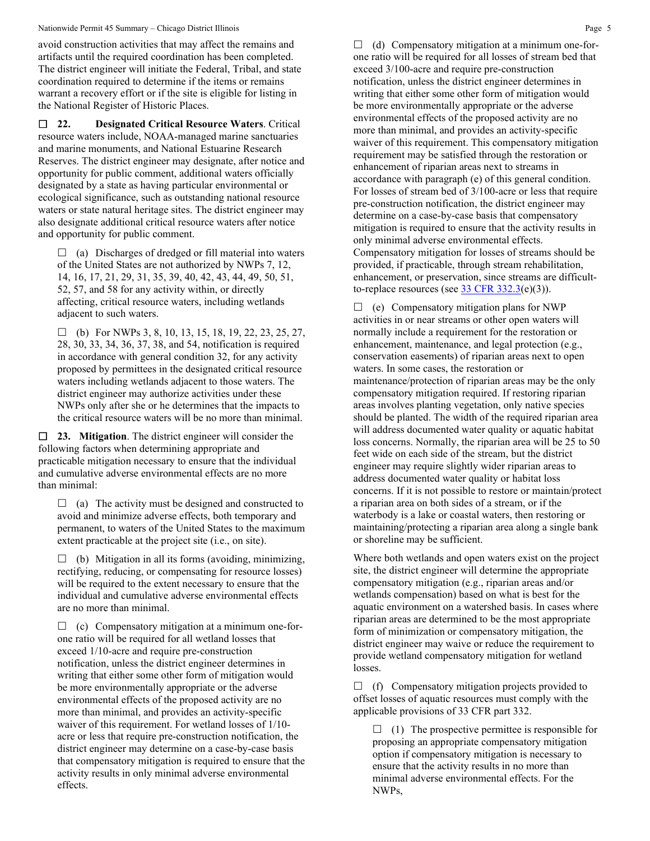#### Nationwide Permit 45 Summary – Chicago District Illinois **Page 5 Page 5**

avoid construction activities that may affect the remains and artifacts until the required coordination has been completed. The district engineer will initiate the Federal, Tribal, and state coordination required to determine if the items or remains warrant a recovery effort or if the site is eligible for listing in the National Register of Historic Places.

 **22. Designated Critical Resource Waters**. Critical resource waters include, NOAA-managed marine sanctuaries and marine monuments, and National Estuarine Research Reserves. The district engineer may designate, after notice and opportunity for public comment, additional waters officially designated by a state as having particular environmental or ecological significance, such as outstanding national resource waters or state natural heritage sites. The district engineer may also designate additional critical resource waters after notice and opportunity for public comment.

 $\Box$  (a) Discharges of dredged or fill material into waters of the United States are not authorized by NWPs 7, 12, 14, 16, 17, 21, 29, 31, 35, 39, 40, 42, 43, 44, 49, 50, 51, 52, 57, and 58 for any activity within, or directly affecting, critical resource waters, including wetlands adjacent to such waters.

 $\Box$  (b) For NWPs 3, 8, 10, 13, 15, 18, 19, 22, 23, 25, 27, 28, 30, 33, 34, 36, 37, 38, and 54, notification is required in accordance with general condition 32, for any activity proposed by permittees in the designated critical resource waters including wetlands adjacent to those waters. The district engineer may authorize activities under these NWPs only after she or he determines that the impacts to the critical resource waters will be no more than minimal.

 **23. Mitigation**. The district engineer will consider the following factors when determining appropriate and practicable mitigation necessary to ensure that the individual and cumulative adverse environmental effects are no more than minimal:

 $\Box$  (a) The activity must be designed and constructed to avoid and minimize adverse effects, both temporary and permanent, to waters of the United States to the maximum extent practicable at the project site (i.e., on site).

 $\Box$  (b) Mitigation in all its forms (avoiding, minimizing, rectifying, reducing, or compensating for resource losses) will be required to the extent necessary to ensure that the individual and cumulative adverse environmental effects are no more than minimal.

 $\Box$  (c) Compensatory mitigation at a minimum one-forone ratio will be required for all wetland losses that exceed 1/10-acre and require pre-construction notification, unless the district engineer determines in writing that either some other form of mitigation would be more environmentally appropriate or the adverse environmental effects of the proposed activity are no more than minimal, and provides an activity-specific waiver of this requirement. For wetland losses of 1/10 acre or less that require pre-construction notification, the district engineer may determine on a case-by-case basis that compensatory mitigation is required to ensure that the activity results in only minimal adverse environmental effects.

 $\Box$  (d) Compensatory mitigation at a minimum one-forone ratio will be required for all losses of stream bed that exceed 3/100-acre and require pre-construction notification, unless the district engineer determines in writing that either some other form of mitigation would be more environmentally appropriate or the adverse environmental effects of the proposed activity are no more than minimal, and provides an activity-specific waiver of this requirement. This compensatory mitigation requirement may be satisfied through the restoration or enhancement of riparian areas next to streams in accordance with paragraph (e) of this general condition. For losses of stream bed of 3/100-acre or less that require pre-construction notification, the district engineer may determine on a case-by-case basis that compensatory mitigation is required to ensure that the activity results in only minimal adverse environmental effects. Compensatory mitigation for losses of streams should be provided, if practicable, through stream rehabilitation, enhancement, or preservation, since streams are difficultto-replace resources (see  $33 \text{ CFR } 332.3(e)(3)$ ).

 $\Box$  (e) Compensatory mitigation plans for NWP activities in or near streams or other open waters will normally include a requirement for the restoration or enhancement, maintenance, and legal protection (e.g., conservation easements) of riparian areas next to open waters. In some cases, the restoration or maintenance/protection of riparian areas may be the only compensatory mitigation required. If restoring riparian areas involves planting vegetation, only native species should be planted. The width of the required riparian area will address documented water quality or aquatic habitat loss concerns. Normally, the riparian area will be 25 to 50 feet wide on each side of the stream, but the district engineer may require slightly wider riparian areas to address documented water quality or habitat loss concerns. If it is not possible to restore or maintain/protect a riparian area on both sides of a stream, or if the waterbody is a lake or coastal waters, then restoring or maintaining/protecting a riparian area along a single bank or shoreline may be sufficient.

Where both wetlands and open waters exist on the project site, the district engineer will determine the appropriate compensatory mitigation (e.g., riparian areas and/or wetlands compensation) based on what is best for the aquatic environment on a watershed basis. In cases where riparian areas are determined to be the most appropriate form of minimization or compensatory mitigation, the district engineer may waive or reduce the requirement to provide wetland compensatory mitigation for wetland losses.

 $\Box$  (f) Compensatory mitigation projects provided to offset losses of aquatic resources must comply with the applicable provisions of 33 CFR part 332.

 $\Box$  (1) The prospective permittee is responsible for proposing an appropriate compensatory mitigation option if compensatory mitigation is necessary to ensure that the activity results in no more than minimal adverse environmental effects. For the NWPs,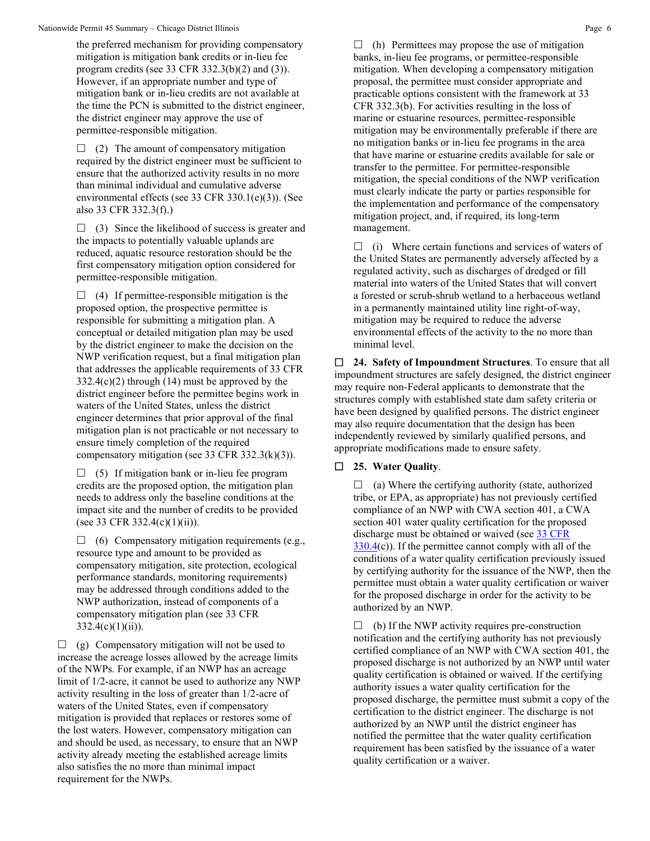the preferred mechanism for providing compensatory mitigation is mitigation bank credits or in-lieu fee program credits (see 33 CFR 332.3(b)(2) and (3)). However, if an appropriate number and type of mitigation bank or in-lieu credits are not available at the time the PCN is submitted to the district engineer, the district engineer may approve the use of permittee-responsible mitigation.

 $\Box$  (2) The amount of compensatory mitigation required by the district engineer must be sufficient to ensure that the authorized activity results in no more than minimal individual and cumulative adverse environmental effects (see 33 CFR 330.1(e)(3)). (See also 33 CFR 332.3(f).)

 $\Box$  (3) Since the likelihood of success is greater and the impacts to potentially valuable uplands are reduced, aquatic resource restoration should be the first compensatory mitigation option considered for permittee-responsible mitigation.

 $\Box$  (4) If permittee-responsible mitigation is the proposed option, the prospective permittee is responsible for submitting a mitigation plan. A conceptual or detailed mitigation plan may be used by the district engineer to make the decision on the NWP verification request, but a final mitigation plan that addresses the applicable requirements of 33 CFR  $332.4(c)(2)$  through (14) must be approved by the district engineer before the permittee begins work in waters of the United States, unless the district engineer determines that prior approval of the final mitigation plan is not practicable or not necessary to ensure timely completion of the required compensatory mitigation (see 33 CFR 332.3(k)(3)).

 $\Box$  (5) If mitigation bank or in-lieu fee program credits are the proposed option, the mitigation plan needs to address only the baseline conditions at the impact site and the number of credits to be provided (see 33 CFR 332.4(c)(1)(ii)).

 $\Box$  (6) Compensatory mitigation requirements (e.g., resource type and amount to be provided as compensatory mitigation, site protection, ecological performance standards, monitoring requirements) may be addressed through conditions added to the NWP authorization, instead of components of a compensatory mitigation plan (see 33 CFR  $332.4(c)(1)(ii)$ .

 $\Box$  (g) Compensatory mitigation will not be used to increase the acreage losses allowed by the acreage limits of the NWPs. For example, if an NWP has an acreage limit of 1/2-acre, it cannot be used to authorize any NWP activity resulting in the loss of greater than 1/2-acre of waters of the United States, even if compensatory mitigation is provided that replaces or restores some of the lost waters. However, compensatory mitigation can and should be used, as necessary, to ensure that an NWP activity already meeting the established acreage limits also satisfies the no more than minimal impact requirement for the NWPs.

 $\Box$  (h) Permittees may propose the use of mitigation banks, in-lieu fee programs, or permittee-responsible mitigation. When developing a compensatory mitigation proposal, the permittee must consider appropriate and practicable options consistent with the framework at 33 CFR 332.3(b). For activities resulting in the loss of marine or estuarine resources, permittee-responsible mitigation may be environmentally preferable if there are no mitigation banks or in-lieu fee programs in the area that have marine or estuarine credits available for sale or transfer to the permittee. For permittee-responsible mitigation, the special conditions of the NWP verification must clearly indicate the party or parties responsible for the implementation and performance of the compensatory mitigation project, and, if required, its long-term management.

 $\Box$  (i) Where certain functions and services of waters of the United States are permanently adversely affected by a regulated activity, such as discharges of dredged or fill material into waters of the United States that will convert a forested or scrub-shrub wetland to a herbaceous wetland in a permanently maintained utility line right-of-way, mitigation may be required to reduce the adverse environmental effects of the activity to the no more than minimal level.

 **24. Safety of Impoundment Structures**. To ensure that all impoundment structures are safely designed, the district engineer may require non-Federal applicants to demonstrate that the structures comply with established state dam safety criteria or have been designed by qualified persons. The district engineer may also require documentation that the design has been independently reviewed by similarly qualified persons, and appropriate modifications made to ensure safety.

## **25. Water Quality**.

 $\Box$  (a) Where the certifying authority (state, authorized tribe, or EPA, as appropriate) has not previously certified compliance of an NWP with CWA section 401, a CWA section 401 water quality certification for the proposed discharge must be obtained or waived (see 33 CFR [330.4\(](https://www.federalregister.gov/select-citation/2021/01/13/33-CFR-330.4)c)). If the permittee cannot comply with all of the conditions of a water quality certification previously issued by certifying authority for the issuance of the NWP, then the permittee must obtain a water quality certification or waiver for the proposed discharge in order for the activity to be authorized by an NWP.

 $\Box$  (b) If the NWP activity requires pre-construction notification and the certifying authority has not previously certified compliance of an NWP with CWA section 401, the proposed discharge is not authorized by an NWP until water quality certification is obtained or waived. If the certifying authority issues a water quality certification for the proposed discharge, the permittee must submit a copy of the certification to the district engineer. The discharge is not authorized by an NWP until the district engineer has notified the permittee that the water quality certification requirement has been satisfied by the issuance of a water quality certification or a waiver.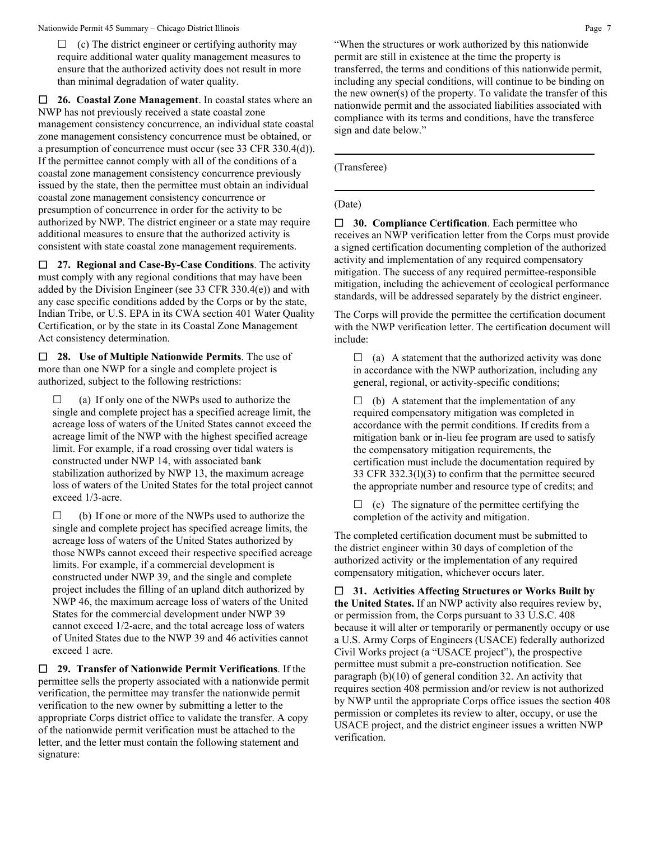$\Box$  (c) The district engineer or certifying authority may require additional water quality management measures to ensure that the authorized activity does not result in more than minimal degradation of water quality.

 **26. Coastal Zone Management**. In coastal states where an NWP has not previously received a state coastal zone management consistency concurrence, an individual state coastal zone management consistency concurrence must be obtained, or a presumption of concurrence must occur (see 33 CFR 330.4(d)). If the permittee cannot comply with all of the conditions of a coastal zone management consistency concurrence previously issued by the state, then the permittee must obtain an individual coastal zone management consistency concurrence or presumption of concurrence in order for the activity to be authorized by NWP. The district engineer or a state may require additional measures to ensure that the authorized activity is consistent with state coastal zone management requirements.

 **27. Regional and Case-By-Case Conditions**. The activity must comply with any regional conditions that may have been added by the Division Engineer (see 33 CFR 330.4(e)) and with any case specific conditions added by the Corps or by the state, Indian Tribe, or U.S. EPA in its CWA section 401 Water Quality Certification, or by the state in its Coastal Zone Management Act consistency determination.

 **28. Use of Multiple Nationwide Permits**. The use of more than one NWP for a single and complete project is authorized, subject to the following restrictions:

 $\Box$  (a) If only one of the NWPs used to authorize the single and complete project has a specified acreage limit, the acreage loss of waters of the United States cannot exceed the acreage limit of the NWP with the highest specified acreage limit. For example, if a road crossing over tidal waters is constructed under NWP 14, with associated bank stabilization authorized by NWP 13, the maximum acreage loss of waters of the United States for the total project cannot exceed 1/3-acre.

 $\Box$  (b) If one or more of the NWPs used to authorize the single and complete project has specified acreage limits, the acreage loss of waters of the United States authorized by those NWPs cannot exceed their respective specified acreage limits. For example, if a commercial development is constructed under NWP 39, and the single and complete project includes the filling of an upland ditch authorized by NWP 46, the maximum acreage loss of waters of the United States for the commercial development under NWP 39 cannot exceed 1/2-acre, and the total acreage loss of waters of United States due to the NWP 39 and 46 activities cannot exceed 1 acre.

 **29. Transfer of Nationwide Permit Verifications**. If the permittee sells the property associated with a nationwide permit verification, the permittee may transfer the nationwide permit verification to the new owner by submitting a letter to the appropriate Corps district office to validate the transfer. A copy of the nationwide permit verification must be attached to the letter, and the letter must contain the following statement and signature:

"When the structures or work authorized by this nationwide permit are still in existence at the time the property is transferred, the terms and conditions of this nationwide permit, including any special conditions, will continue to be binding on the new owner(s) of the property. To validate the transfer of this nationwide permit and the associated liabilities associated with compliance with its terms and conditions, have the transferee sign and date below."

(Transferee)

## (Date)

 **30. Compliance Certification**. Each permittee who receives an NWP verification letter from the Corps must provide a signed certification documenting completion of the authorized activity and implementation of any required compensatory mitigation. The success of any required permittee-responsible mitigation, including the achievement of ecological performance standards, will be addressed separately by the district engineer.

The Corps will provide the permittee the certification document with the NWP verification letter. The certification document will include:

 $\Box$  (a) A statement that the authorized activity was done in accordance with the NWP authorization, including any general, regional, or activity-specific conditions;

 $\Box$  (b) A statement that the implementation of any required compensatory mitigation was completed in accordance with the permit conditions. If credits from a mitigation bank or in-lieu fee program are used to satisfy the compensatory mitigation requirements, the certification must include the documentation required by 33 CFR 332.3(l)(3) to confirm that the permittee secured the appropriate number and resource type of credits; and

 $\Box$  (c) The signature of the permittee certifying the completion of the activity and mitigation.

The completed certification document must be submitted to the district engineer within 30 days of completion of the authorized activity or the implementation of any required compensatory mitigation, whichever occurs later.

 **31. Activities Affecting Structures or Works Built by the United States.** If an NWP activity also requires review by, or permission from, the Corps pursuant to 33 U.S.C. 408 because it will alter or temporarily or permanently occupy or use a U.S. Army Corps of Engineers (USACE) federally authorized Civil Works project (a "USACE project"), the prospective permittee must submit a pre-construction notification. See paragraph (b)(10) of general condition 32. An activity that requires section 408 permission and/or review is not authorized by NWP until the appropriate Corps office issues the section 408 permission or completes its review to alter, occupy, or use the USACE project, and the district engineer issues a written NWP verification.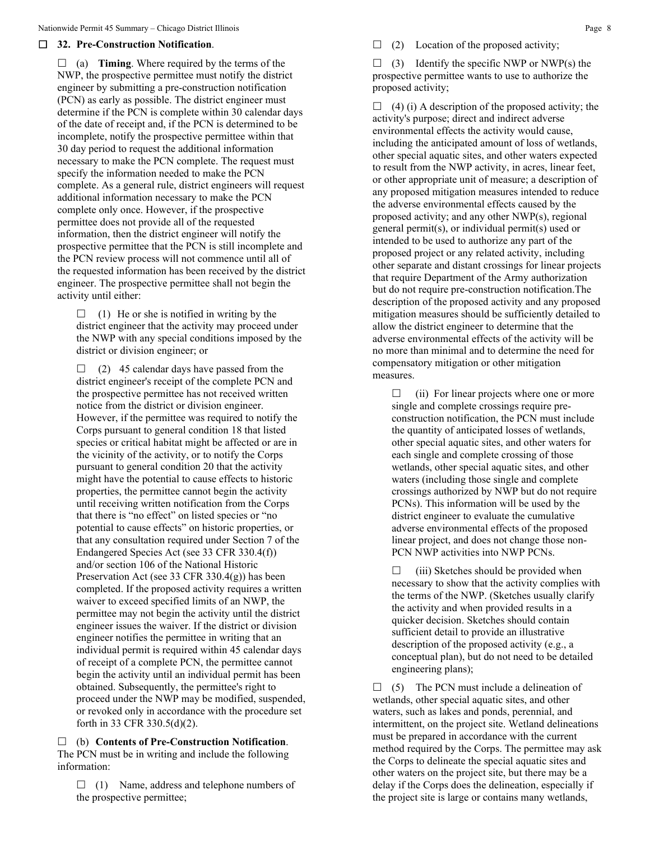#### **32. Pre-Construction Notification**.

 $\Box$  (a) **Timing**. Where required by the terms of the NWP, the prospective permittee must notify the district engineer by submitting a pre-construction notification (PCN) as early as possible. The district engineer must determine if the PCN is complete within 30 calendar days of the date of receipt and, if the PCN is determined to be incomplete, notify the prospective permittee within that 30 day period to request the additional information necessary to make the PCN complete. The request must specify the information needed to make the PCN complete. As a general rule, district engineers will request additional information necessary to make the PCN complete only once. However, if the prospective permittee does not provide all of the requested information, then the district engineer will notify the prospective permittee that the PCN is still incomplete and the PCN review process will not commence until all of the requested information has been received by the district engineer. The prospective permittee shall not begin the activity until either:

 $\Box$  (1) He or she is notified in writing by the district engineer that the activity may proceed under the NWP with any special conditions imposed by the district or division engineer; or

 $\Box$  (2) 45 calendar days have passed from the district engineer's receipt of the complete PCN and the prospective permittee has not received written notice from the district or division engineer. However, if the permittee was required to notify the Corps pursuant to general condition 18 that listed species or critical habitat might be affected or are in the vicinity of the activity, or to notify the Corps pursuant to general condition 20 that the activity might have the potential to cause effects to historic properties, the permittee cannot begin the activity until receiving written notification from the Corps that there is "no effect" on listed species or "no potential to cause effects" on historic properties, or that any consultation required under Section 7 of the Endangered Species Act (see 33 CFR 330.4(f)) and/or section 106 of the National Historic Preservation Act (see 33 CFR 330.4(g)) has been completed. If the proposed activity requires a written waiver to exceed specified limits of an NWP, the permittee may not begin the activity until the district engineer issues the waiver. If the district or division engineer notifies the permittee in writing that an individual permit is required within 45 calendar days of receipt of a complete PCN, the permittee cannot begin the activity until an individual permit has been obtained. Subsequently, the permittee's right to proceed under the NWP may be modified, suspended, or revoked only in accordance with the procedure set forth in 33 CFR 330.5(d)(2).

 (b) **Contents of Pre-Construction Notification**. The PCN must be in writing and include the following information:

 $\Box$  (1) Name, address and telephone numbers of the prospective permittee;

 $\Box$  (2) Location of the proposed activity;

 $\Box$  (3) Identify the specific NWP or NWP(s) the prospective permittee wants to use to authorize the proposed activity;

 $\Box$  (4) (i) A description of the proposed activity; the activity's purpose; direct and indirect adverse environmental effects the activity would cause, including the anticipated amount of loss of wetlands, other special aquatic sites, and other waters expected to result from the NWP activity, in acres, linear feet, or other appropriate unit of measure; a description of any proposed mitigation measures intended to reduce the adverse environmental effects caused by the proposed activity; and any other NWP(s), regional general permit(s), or individual permit(s) used or intended to be used to authorize any part of the proposed project or any related activity, including other separate and distant crossings for linear projects that require Department of the Army authorization but do not require pre-construction notification.The description of the proposed activity and any proposed mitigation measures should be sufficiently detailed to allow the district engineer to determine that the adverse environmental effects of the activity will be no more than minimal and to determine the need for compensatory mitigation or other mitigation measures.

 $\Box$  (ii) For linear projects where one or more single and complete crossings require preconstruction notification, the PCN must include the quantity of anticipated losses of wetlands, other special aquatic sites, and other waters for each single and complete crossing of those wetlands, other special aquatic sites, and other waters (including those single and complete crossings authorized by NWP but do not require PCNs). This information will be used by the district engineer to evaluate the cumulative adverse environmental effects of the proposed linear project, and does not change those non-PCN NWP activities into NWP PCNs.

 $\Box$  (iii) Sketches should be provided when necessary to show that the activity complies with the terms of the NWP. (Sketches usually clarify the activity and when provided results in a quicker decision. Sketches should contain sufficient detail to provide an illustrative description of the proposed activity (e.g., a conceptual plan), but do not need to be detailed engineering plans);

 $\Box$  (5) The PCN must include a delineation of wetlands, other special aquatic sites, and other waters, such as lakes and ponds, perennial, and intermittent, on the project site. Wetland delineations must be prepared in accordance with the current method required by the Corps. The permittee may ask the Corps to delineate the special aquatic sites and other waters on the project site, but there may be a delay if the Corps does the delineation, especially if the project site is large or contains many wetlands,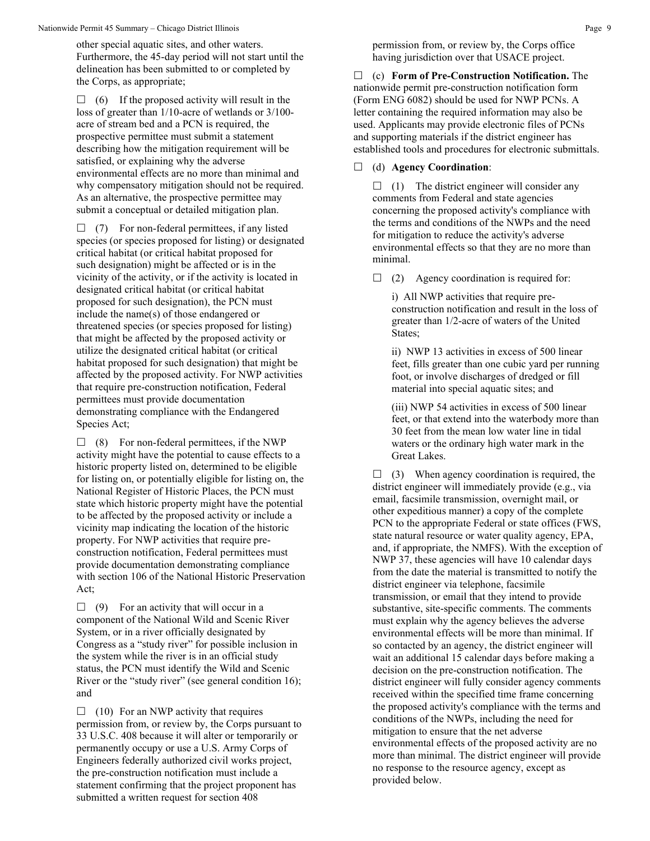other special aquatic sites, and other waters. Furthermore, the 45-day period will not start until the delineation has been submitted to or completed by the Corps, as appropriate;

 $\Box$  (6) If the proposed activity will result in the loss of greater than 1/10-acre of wetlands or 3/100 acre of stream bed and a PCN is required, the prospective permittee must submit a statement describing how the mitigation requirement will be satisfied, or explaining why the adverse environmental effects are no more than minimal and why compensatory mitigation should not be required. As an alternative, the prospective permittee may submit a conceptual or detailed mitigation plan.

 $\Box$  (7) For non-federal permittees, if any listed species (or species proposed for listing) or designated critical habitat (or critical habitat proposed for such designation) might be affected or is in the vicinity of the activity, or if the activity is located in designated critical habitat (or critical habitat proposed for such designation), the PCN must include the name(s) of those endangered or threatened species (or species proposed for listing) that might be affected by the proposed activity or utilize the designated critical habitat (or critical habitat proposed for such designation) that might be affected by the proposed activity. For NWP activities that require pre-construction notification, Federal permittees must provide documentation demonstrating compliance with the Endangered Species Act;

 $\Box$  (8) For non-federal permittees, if the NWP activity might have the potential to cause effects to a historic property listed on, determined to be eligible for listing on, or potentially eligible for listing on, the National Register of Historic Places, the PCN must state which historic property might have the potential to be affected by the proposed activity or include a vicinity map indicating the location of the historic property. For NWP activities that require preconstruction notification, Federal permittees must provide documentation demonstrating compliance with section 106 of the National Historic Preservation Act;

 $\Box$  (9) For an activity that will occur in a component of the National Wild and Scenic River System, or in a river officially designated by Congress as a "study river" for possible inclusion in the system while the river is in an official study status, the PCN must identify the Wild and Scenic River or the "study river" (see general condition 16); and

 $\Box$  (10) For an NWP activity that requires permission from, or review by, the Corps pursuant to 33 U.S.C. 408 because it will alter or temporarily or permanently occupy or use a U.S. Army Corps of Engineers federally authorized civil works project, the pre-construction notification must include a statement confirming that the project proponent has submitted a written request for section 408

permission from, or review by, the Corps office having jurisdiction over that USACE project.

 (c) **Form of Pre-Construction Notification.** The nationwide permit pre-construction notification form (Form ENG 6082) should be used for NWP PCNs. A letter containing the required information may also be used. Applicants may provide electronic files of PCNs and supporting materials if the district engineer has established tools and procedures for electronic submittals.

(d) **Agency Coordination**:

 $\Box$  (1) The district engineer will consider any comments from Federal and state agencies concerning the proposed activity's compliance with the terms and conditions of the NWPs and the need for mitigation to reduce the activity's adverse environmental effects so that they are no more than minimal.

 $\Box$  (2) Agency coordination is required for:

i) All NWP activities that require preconstruction notification and result in the loss of greater than 1/2-acre of waters of the United States;

ii) NWP 13 activities in excess of 500 linear feet, fills greater than one cubic yard per running foot, or involve discharges of dredged or fill material into special aquatic sites; and

(iii) NWP 54 activities in excess of 500 linear feet, or that extend into the waterbody more than 30 feet from the mean low water line in tidal waters or the ordinary high water mark in the Great Lakes.

 $\Box$  (3) When agency coordination is required, the district engineer will immediately provide (e.g., via email, facsimile transmission, overnight mail, or other expeditious manner) a copy of the complete PCN to the appropriate Federal or state offices (FWS, state natural resource or water quality agency, EPA, and, if appropriate, the NMFS). With the exception of NWP 37, these agencies will have 10 calendar days from the date the material is transmitted to notify the district engineer via telephone, facsimile transmission, or email that they intend to provide substantive, site-specific comments. The comments must explain why the agency believes the adverse environmental effects will be more than minimal. If so contacted by an agency, the district engineer will wait an additional 15 calendar days before making a decision on the pre-construction notification. The district engineer will fully consider agency comments received within the specified time frame concerning the proposed activity's compliance with the terms and conditions of the NWPs, including the need for mitigation to ensure that the net adverse environmental effects of the proposed activity are no more than minimal. The district engineer will provide no response to the resource agency, except as provided below.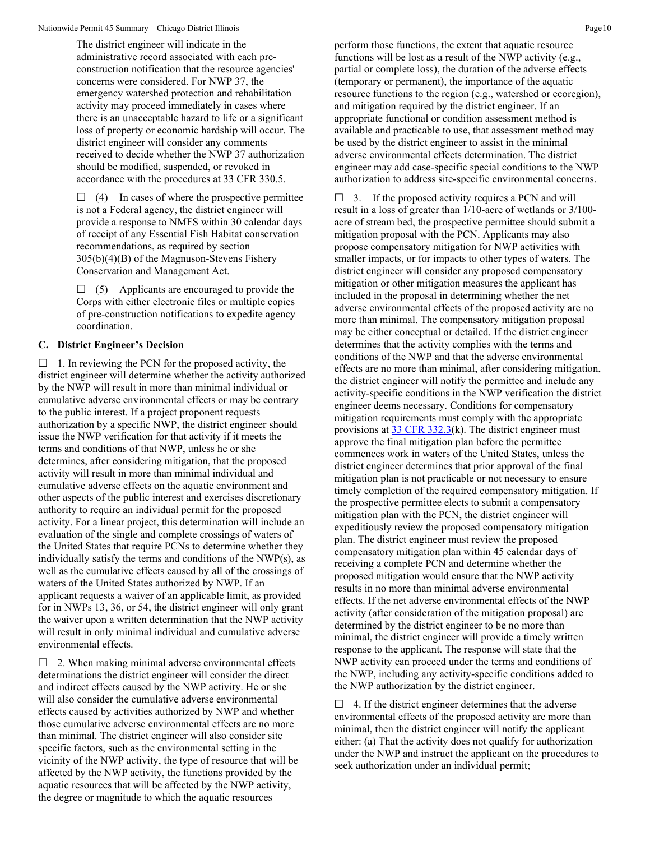The district engineer will indicate in the administrative record associated with each preconstruction notification that the resource agencies' concerns were considered. For NWP 37, the emergency watershed protection and rehabilitation activity may proceed immediately in cases where there is an unacceptable hazard to life or a significant loss of property or economic hardship will occur. The district engineer will consider any comments received to decide whether the NWP 37 authorization should be modified, suspended, or revoked in accordance with the procedures at 33 CFR 330.5.

 $\Box$  (4) In cases of where the prospective permittee is not a Federal agency, the district engineer will provide a response to NMFS within 30 calendar days of receipt of any Essential Fish Habitat conservation recommendations, as required by section 305(b)(4)(B) of the Magnuson-Stevens Fishery Conservation and Management Act.

 $\Box$  (5) Applicants are encouraged to provide the Corps with either electronic files or multiple copies of pre-construction notifications to expedite agency coordination.

### **C. District Engineer's Decision**

 $\Box$  1. In reviewing the PCN for the proposed activity, the district engineer will determine whether the activity authorized by the NWP will result in more than minimal individual or cumulative adverse environmental effects or may be contrary to the public interest. If a project proponent requests authorization by a specific NWP, the district engineer should issue the NWP verification for that activity if it meets the terms and conditions of that NWP, unless he or she determines, after considering mitigation, that the proposed activity will result in more than minimal individual and cumulative adverse effects on the aquatic environment and other aspects of the public interest and exercises discretionary authority to require an individual permit for the proposed activity. For a linear project, this determination will include an evaluation of the single and complete crossings of waters of the United States that require PCNs to determine whether they individually satisfy the terms and conditions of the NWP(s), as well as the cumulative effects caused by all of the crossings of waters of the United States authorized by NWP. If an applicant requests a waiver of an applicable limit, as provided for in NWPs 13, 36, or 54, the district engineer will only grant the waiver upon a written determination that the NWP activity will result in only minimal individual and cumulative adverse environmental effects.

 $\Box$  2. When making minimal adverse environmental effects determinations the district engineer will consider the direct and indirect effects caused by the NWP activity. He or she will also consider the cumulative adverse environmental effects caused by activities authorized by NWP and whether those cumulative adverse environmental effects are no more than minimal. The district engineer will also consider site specific factors, such as the environmental setting in the vicinity of the NWP activity, the type of resource that will be affected by the NWP activity, the functions provided by the aquatic resources that will be affected by the NWP activity, the degree or magnitude to which the aquatic resources

functions will be lost as a result of the NWP activity (e.g., partial or complete loss), the duration of the adverse effects (temporary or permanent), the importance of the aquatic resource functions to the region (e.g., watershed or ecoregion), and mitigation required by the district engineer. If an appropriate functional or condition assessment method is available and practicable to use, that assessment method may be used by the district engineer to assist in the minimal adverse environmental effects determination. The district engineer may add case-specific special conditions to the NWP authorization to address site-specific environmental concerns.

 $\Box$  3. If the proposed activity requires a PCN and will result in a loss of greater than 1/10-acre of wetlands or 3/100 acre of stream bed, the prospective permittee should submit a mitigation proposal with the PCN. Applicants may also propose compensatory mitigation for NWP activities with smaller impacts, or for impacts to other types of waters. The district engineer will consider any proposed compensatory mitigation or other mitigation measures the applicant has included in the proposal in determining whether the net adverse environmental effects of the proposed activity are no more than minimal. The compensatory mitigation proposal may be either conceptual or detailed. If the district engineer determines that the activity complies with the terms and conditions of the NWP and that the adverse environmental effects are no more than minimal, after considering mitigation, the district engineer will notify the permittee and include any activity-specific conditions in the NWP verification the district engineer deems necessary. Conditions for compensatory mitigation requirements must comply with the appropriate provisions at  $33 \text{ CFR } 332.3(k)$ . The district engineer must approve the final mitigation plan before the permittee commences work in waters of the United States, unless the district engineer determines that prior approval of the final mitigation plan is not practicable or not necessary to ensure timely completion of the required compensatory mitigation. If the prospective permittee elects to submit a compensatory mitigation plan with the PCN, the district engineer will expeditiously review the proposed compensatory mitigation plan. The district engineer must review the proposed compensatory mitigation plan within 45 calendar days of receiving a complete PCN and determine whether the proposed mitigation would ensure that the NWP activity results in no more than minimal adverse environmental effects. If the net adverse environmental effects of the NWP activity (after consideration of the mitigation proposal) are determined by the district engineer to be no more than minimal, the district engineer will provide a timely written response to the applicant. The response will state that the NWP activity can proceed under the terms and conditions of the NWP, including any activity-specific conditions added to the NWP authorization by the district engineer.

 $\Box$  4. If the district engineer determines that the adverse environmental effects of the proposed activity are more than minimal, then the district engineer will notify the applicant either: (a) That the activity does not qualify for authorization under the NWP and instruct the applicant on the procedures to seek authorization under an individual permit;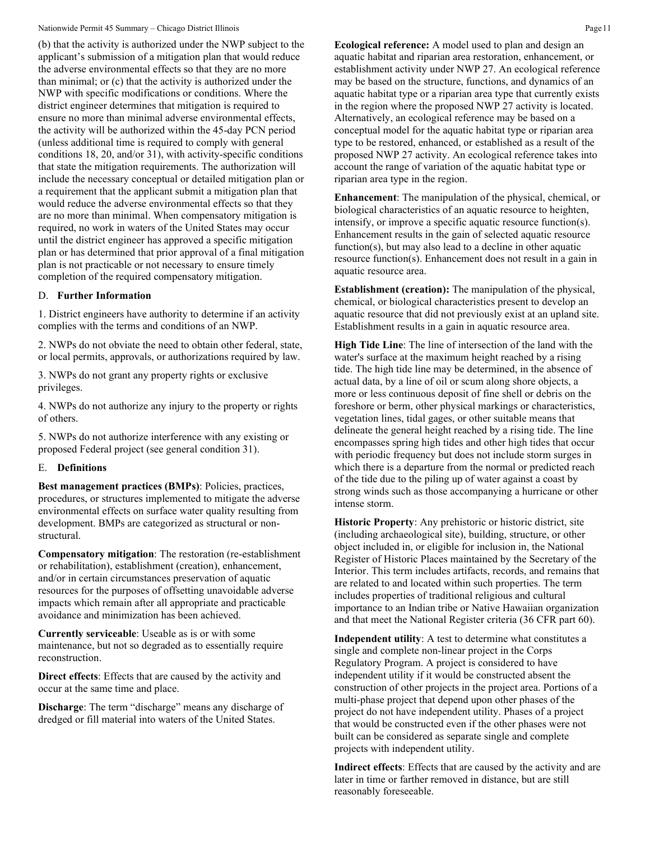#### Nationwide Permit 45 Summary – Chicago District Illinois Page 11

(b) that the activity is authorized under the NWP subject to the applicant's submission of a mitigation plan that would reduce the adverse environmental effects so that they are no more than minimal; or (c) that the activity is authorized under the NWP with specific modifications or conditions. Where the district engineer determines that mitigation is required to ensure no more than minimal adverse environmental effects, the activity will be authorized within the 45-day PCN period (unless additional time is required to comply with general conditions 18, 20, and/or 31), with activity-specific conditions that state the mitigation requirements. The authorization will include the necessary conceptual or detailed mitigation plan or a requirement that the applicant submit a mitigation plan that would reduce the adverse environmental effects so that they are no more than minimal. When compensatory mitigation is required, no work in waters of the United States may occur until the district engineer has approved a specific mitigation plan or has determined that prior approval of a final mitigation plan is not practicable or not necessary to ensure timely completion of the required compensatory mitigation.

#### D. **Further Information**

1. District engineers have authority to determine if an activity complies with the terms and conditions of an NWP.

2. NWPs do not obviate the need to obtain other federal, state, or local permits, approvals, or authorizations required by law.

3. NWPs do not grant any property rights or exclusive privileges.

4. NWPs do not authorize any injury to the property or rights of others.

5. NWPs do not authorize interference with any existing or proposed Federal project (see general condition 31).

#### E. **Definitions**

**Best management practices (BMPs)**: Policies, practices, procedures, or structures implemented to mitigate the adverse environmental effects on surface water quality resulting from development. BMPs are categorized as structural or nonstructural.

**Compensatory mitigation**: The restoration (re-establishment or rehabilitation), establishment (creation), enhancement, and/or in certain circumstances preservation of aquatic resources for the purposes of offsetting unavoidable adverse impacts which remain after all appropriate and practicable avoidance and minimization has been achieved.

**Currently serviceable**: Useable as is or with some maintenance, but not so degraded as to essentially require reconstruction.

**Direct effects**: Effects that are caused by the activity and occur at the same time and place.

**Discharge:** The term "discharge" means any discharge of dredged or fill material into waters of the United States.

**Ecological reference:** A model used to plan and design an aquatic habitat and riparian area restoration, enhancement, or establishment activity under NWP 27. An ecological reference may be based on the structure, functions, and dynamics of an aquatic habitat type or a riparian area type that currently exists in the region where the proposed NWP 27 activity is located. Alternatively, an ecological reference may be based on a conceptual model for the aquatic habitat type or riparian area type to be restored, enhanced, or established as a result of the proposed NWP 27 activity. An ecological reference takes into account the range of variation of the aquatic habitat type or riparian area type in the region.

**Enhancement**: The manipulation of the physical, chemical, or biological characteristics of an aquatic resource to heighten, intensify, or improve a specific aquatic resource function(s). Enhancement results in the gain of selected aquatic resource function(s), but may also lead to a decline in other aquatic resource function(s). Enhancement does not result in a gain in aquatic resource area.

**Establishment (creation):** The manipulation of the physical, chemical, or biological characteristics present to develop an aquatic resource that did not previously exist at an upland site. Establishment results in a gain in aquatic resource area.

**High Tide Line**: The line of intersection of the land with the water's surface at the maximum height reached by a rising tide. The high tide line may be determined, in the absence of actual data, by a line of oil or scum along shore objects, a more or less continuous deposit of fine shell or debris on the foreshore or berm, other physical markings or characteristics, vegetation lines, tidal gages, or other suitable means that delineate the general height reached by a rising tide. The line encompasses spring high tides and other high tides that occur with periodic frequency but does not include storm surges in which there is a departure from the normal or predicted reach of the tide due to the piling up of water against a coast by strong winds such as those accompanying a hurricane or other intense storm.

**Historic Property**: Any prehistoric or historic district, site (including archaeological site), building, structure, or other object included in, or eligible for inclusion in, the National Register of Historic Places maintained by the Secretary of the Interior. This term includes artifacts, records, and remains that are related to and located within such properties. The term includes properties of traditional religious and cultural importance to an Indian tribe or Native Hawaiian organization and that meet the National Register criteria (36 CFR part 60).

**Independent utility**: A test to determine what constitutes a single and complete non-linear project in the Corps Regulatory Program. A project is considered to have independent utility if it would be constructed absent the construction of other projects in the project area. Portions of a multi-phase project that depend upon other phases of the project do not have independent utility. Phases of a project that would be constructed even if the other phases were not built can be considered as separate single and complete projects with independent utility.

**Indirect effects**: Effects that are caused by the activity and are later in time or farther removed in distance, but are still reasonably foreseeable.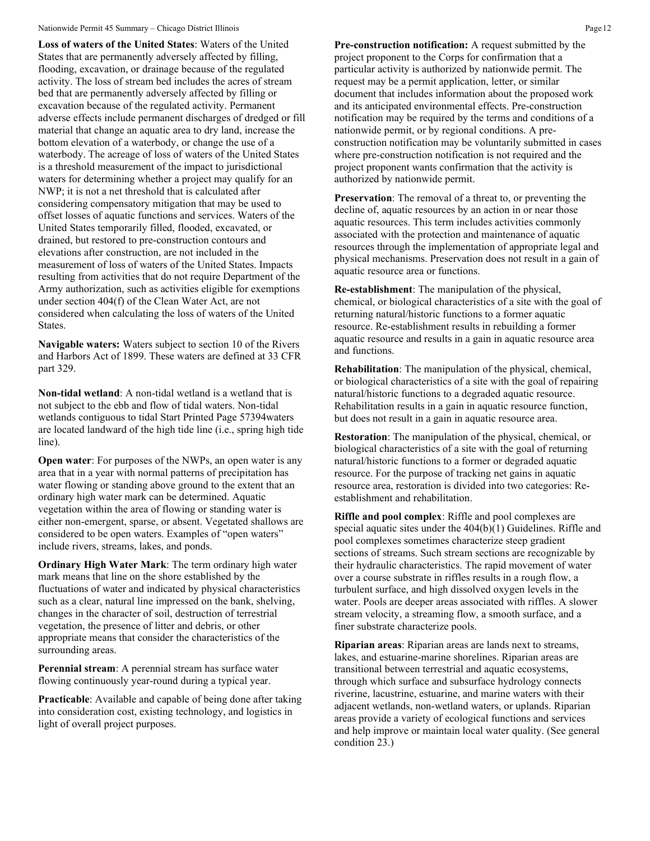#### Nationwide Permit 45 Summary – Chicago District Illinois Page 12

**Loss of waters of the United States**: Waters of the United States that are permanently adversely affected by filling, flooding, excavation, or drainage because of the regulated activity. The loss of stream bed includes the acres of stream bed that are permanently adversely affected by filling or excavation because of the regulated activity. Permanent adverse effects include permanent discharges of dredged or fill material that change an aquatic area to dry land, increase the bottom elevation of a waterbody, or change the use of a waterbody. The acreage of loss of waters of the United States is a threshold measurement of the impact to jurisdictional waters for determining whether a project may qualify for an NWP; it is not a net threshold that is calculated after considering compensatory mitigation that may be used to offset losses of aquatic functions and services. Waters of the United States temporarily filled, flooded, excavated, or drained, but restored to pre-construction contours and elevations after construction, are not included in the measurement of loss of waters of the United States. Impacts resulting from activities that do not require Department of the Army authorization, such as activities eligible for exemptions under section 404(f) of the Clean Water Act, are not considered when calculating the loss of waters of the United States.

**Navigable waters:** Waters subject to section 10 of the Rivers and Harbors Act of 1899. These waters are defined at 33 CFR part 329.

**Non-tidal wetland**: A non-tidal wetland is a wetland that is not subject to the ebb and flow of tidal waters. Non-tidal wetlands contiguous to tidal Start Printed Page 57394waters are located landward of the high tide line (i.e., spring high tide line).

**Open water**: For purposes of the NWPs, an open water is any area that in a year with normal patterns of precipitation has water flowing or standing above ground to the extent that an ordinary high water mark can be determined. Aquatic vegetation within the area of flowing or standing water is either non-emergent, sparse, or absent. Vegetated shallows are considered to be open waters. Examples of "open waters" include rivers, streams, lakes, and ponds.

**Ordinary High Water Mark**: The term ordinary high water mark means that line on the shore established by the fluctuations of water and indicated by physical characteristics such as a clear, natural line impressed on the bank, shelving, changes in the character of soil, destruction of terrestrial vegetation, the presence of litter and debris, or other appropriate means that consider the characteristics of the surrounding areas.

**Perennial stream**: A perennial stream has surface water flowing continuously year-round during a typical year.

**Practicable**: Available and capable of being done after taking into consideration cost, existing technology, and logistics in light of overall project purposes.

**Pre-construction notification:** A request submitted by the project proponent to the Corps for confirmation that a particular activity is authorized by nationwide permit. The request may be a permit application, letter, or similar document that includes information about the proposed work and its anticipated environmental effects. Pre-construction notification may be required by the terms and conditions of a nationwide permit, or by regional conditions. A preconstruction notification may be voluntarily submitted in cases where pre-construction notification is not required and the project proponent wants confirmation that the activity is authorized by nationwide permit.

**Preservation**: The removal of a threat to, or preventing the decline of, aquatic resources by an action in or near those aquatic resources. This term includes activities commonly associated with the protection and maintenance of aquatic resources through the implementation of appropriate legal and physical mechanisms. Preservation does not result in a gain of aquatic resource area or functions.

**Re-establishment**: The manipulation of the physical, chemical, or biological characteristics of a site with the goal of returning natural/historic functions to a former aquatic resource. Re-establishment results in rebuilding a former aquatic resource and results in a gain in aquatic resource area and functions.

**Rehabilitation**: The manipulation of the physical, chemical, or biological characteristics of a site with the goal of repairing natural/historic functions to a degraded aquatic resource. Rehabilitation results in a gain in aquatic resource function, but does not result in a gain in aquatic resource area.

**Restoration**: The manipulation of the physical, chemical, or biological characteristics of a site with the goal of returning natural/historic functions to a former or degraded aquatic resource. For the purpose of tracking net gains in aquatic resource area, restoration is divided into two categories: Reestablishment and rehabilitation.

**Riffle and pool complex**: Riffle and pool complexes are special aquatic sites under the 404(b)(1) Guidelines. Riffle and pool complexes sometimes characterize steep gradient sections of streams. Such stream sections are recognizable by their hydraulic characteristics. The rapid movement of water over a course substrate in riffles results in a rough flow, a turbulent surface, and high dissolved oxygen levels in the water. Pools are deeper areas associated with riffles. A slower stream velocity, a streaming flow, a smooth surface, and a finer substrate characterize pools.

**Riparian areas**: Riparian areas are lands next to streams, lakes, and estuarine-marine shorelines. Riparian areas are transitional between terrestrial and aquatic ecosystems, through which surface and subsurface hydrology connects riverine, lacustrine, estuarine, and marine waters with their adjacent wetlands, non-wetland waters, or uplands. Riparian areas provide a variety of ecological functions and services and help improve or maintain local water quality. (See general condition 23.)